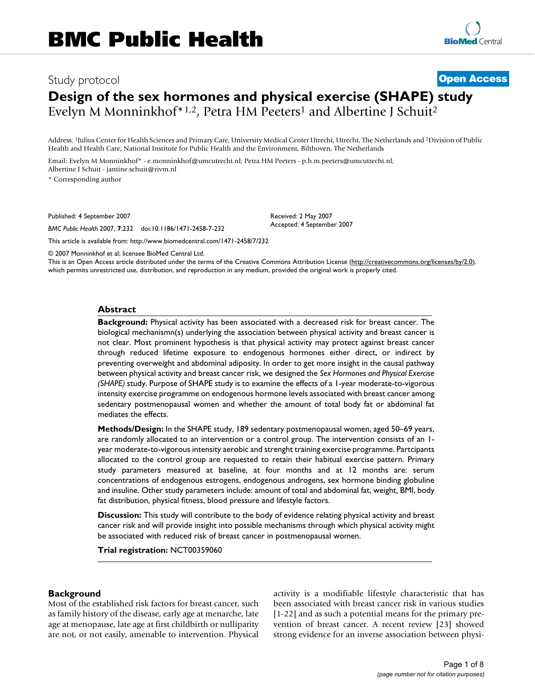# Study protocol **[Open Access](http://www.biomedcentral.com/info/about/charter/) Design of the sex hormones and physical exercise (SHAPE) study** Evelyn M Monninkhof\*<sup>1,2</sup>, Petra HM Peeters<sup>1</sup> and Albertine J Schuit<sup>2</sup>

Address: 1Julius Center for Health Sciences and Primary Care, University Medical Center Utrecht, Utrecht, The Netherlands and 2Division of Public Health and Health Care, National Institute for Public Health and the Environment, Bilthoven, The Netherlands

Email: Evelyn M Monninkhof\* - e.monninkhof@umcutrecht.nl; Petra HM Peeters - p.h.m.peeters@umcutrecht.nl; Albertine J Schuit - jantine.schuit@rivm.nl

\* Corresponding author

Published: 4 September 2007

*BMC Public Health* 2007, **7**:232 doi:10.1186/1471-2458-7-232

[This article is available from: http://www.biomedcentral.com/1471-2458/7/232](http://www.biomedcentral.com/1471-2458/7/232)

© 2007 Monninkhof et al; licensee BioMed Central Ltd.

This is an Open Access article distributed under the terms of the Creative Commons Attribution License [\(http://creativecommons.org/licenses/by/2.0\)](http://creativecommons.org/licenses/by/2.0), which permits unrestricted use, distribution, and reproduction in any medium, provided the original work is properly cited.

Received: 2 May 2007 Accepted: 4 September 2007

### **Abstract**

**Background:** Physical activity has been associated with a decreased risk for breast cancer. The biological mechanismn(s) underlying the association between physical activity and breast cancer is not clear. Most prominent hypothesis is that physical activity may protect against breast cancer through reduced lifetime exposure to endogenous hormones either direct, or indirect by preventing overweight and abdominal adiposity. In order to get more insight in the causal pathway between physical activity and breast cancer risk, we designed the *Sex Hormones and Physical Exercise (SHAPE)* study. Purpose of SHAPE study is to examine the effects of a 1-year moderate-to-vigorous intensity exercise programme on endogenous hormone levels associated with breast cancer among sedentary postmenopausal women and whether the amount of total body fat or abdominal fat mediates the effects.

**Methods/Design:** In the SHAPE study, 189 sedentary postmenopausal women, aged 50–69 years, are randomly allocated to an intervention or a control group. The intervention consists of an 1 year moderate-to-vigorous intensity aerobic and strenght training exercise programme. Partcipants allocated to the control group are requested to retain their habitual exercise pattern. Primary study parameters measured at baseline, at four months and at 12 months are: serum concentrations of endogenous estrogens, endogenous androgens, sex hormone binding globuline and insuline. Other study parameters include: amount of total and abdominal fat, weight, BMI, body fat distribution, physical fitness, blood pressure and lifestyle factors.

**Discussion:** This study will contribute to the body of evidence relating physical activity and breast cancer risk and will provide insight into possible mechanisms through which physical activity might be associated with reduced risk of breast cancer in postmenopausal women.

**Trial registration:** NCT00359060

#### **Background**

Most of the established risk factors for breast cancer, such as family history of the disease, early age at menarche, late age at menopause, late age at first childbirth or nulliparity are not, or not easily, amenable to intervention. Physical activity is a modifiable lifestyle characteristic that has been associated with breast cancer risk in various studies [1-22] and as such a potential means for the primary prevention of breast cancer. A recent review [23] showed strong evidence for an inverse association between physi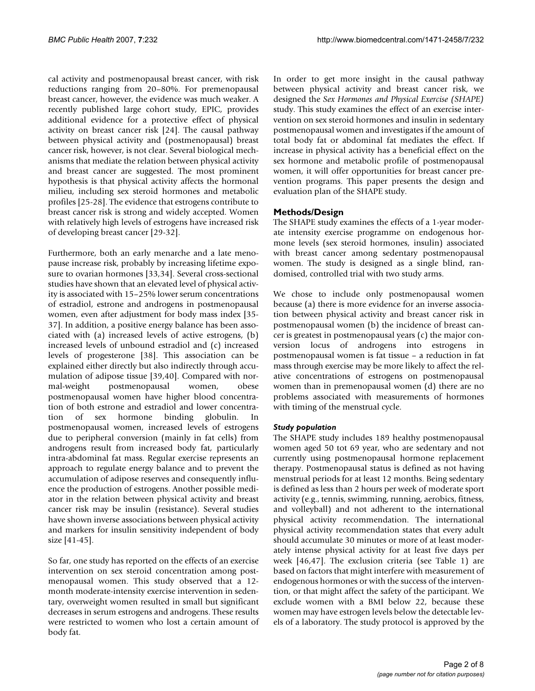cal activity and postmenopausal breast cancer, with risk reductions ranging from 20–80%. For premenopausal breast cancer, however, the evidence was much weaker. A recently published large cohort study, EPIC, provides additional evidence for a protective effect of physical activity on breast cancer risk [24]. The causal pathway between physical activity and (postmenopausal) breast cancer risk, however, is not clear. Several biological mechanisms that mediate the relation between physical activity and breast cancer are suggested. The most prominent hypothesis is that physical activity affects the hormonal milieu, including sex steroid hormones and metabolic profiles [25-28]. The evidence that estrogens contribute to breast cancer risk is strong and widely accepted. Women with relatively high levels of estrogens have increased risk of developing breast cancer [29-32].

Furthermore, both an early menarche and a late menopause increase risk, probably by increasing lifetime exposure to ovarian hormones [33,34]. Several cross-sectional studies have shown that an elevated level of physical activity is associated with 15–25% lower serum concentrations of estradiol, estrone and androgens in postmenopausal women, even after adjustment for body mass index [35- 37]. In addition, a positive energy balance has been associated with (a) increased levels of active estrogens, (b) increased levels of unbound estradiol and (c) increased levels of progesterone [38]. This association can be explained either directly but also indirectly through accumulation of adipose tissue [39,40]. Compared with normal-weight postmenopausal women, obese postmenopausal women have higher blood concentration of both estrone and estradiol and lower concentration of sex hormone binding globulin. postmenopausal women, increased levels of estrogens due to peripheral conversion (mainly in fat cells) from androgens result from increased body fat, particularly intra-abdominal fat mass. Regular exercise represents an approach to regulate energy balance and to prevent the accumulation of adipose reserves and consequently influence the production of estrogens. Another possible mediator in the relation between physical activity and breast cancer risk may be insulin (resistance). Several studies have shown inverse associations between physical activity and markers for insulin sensitivity independent of body size [41-45].

So far, one study has reported on the effects of an exercise intervention on sex steroid concentration among postmenopausal women. This study observed that a 12 month moderate-intensity exercise intervention in sedentary, overweight women resulted in small but significant decreases in serum estrogens and androgens. These results were restricted to women who lost a certain amount of body fat.

In order to get more insight in the causal pathway between physical activity and breast cancer risk, we designed the *Sex Hormones and Physical Exercise (SHAPE)* study. This study examines the effect of an exercise intervention on sex steroid hormones and insulin in sedentary postmenopausal women and investigates if the amount of total body fat or abdominal fat mediates the effect. If increase in physical activity has a beneficial effect on the sex hormone and metabolic profile of postmenopausal women, it will offer opportunities for breast cancer prevention programs. This paper presents the design and evaluation plan of the SHAPE study.

# **Methods/Design**

The SHAPE study examines the effects of a 1-year moderate intensity exercise programme on endogenous hormone levels (sex steroid hormones, insulin) associated with breast cancer among sedentary postmenopausal women. The study is designed as a single blind, randomised, controlled trial with two study arms.

We chose to include only postmenopausal women because (a) there is more evidence for an inverse association between physical activity and breast cancer risk in postmenopausal women (b) the incidence of breast cancer is greatest in postmenopausal years (c) the major conversion locus of androgens into estrogens in postmenopausal women is fat tissue – a reduction in fat mass through exercise may be more likely to affect the relative concentrations of estrogens on postmenopausal women than in premenopausal women (d) there are no problems associated with measurements of hormones with timing of the menstrual cycle.

# *Study population*

The SHAPE study includes 189 healthy postmenopausal women aged 50 tot 69 year, who are sedentary and not currently using postmenopausal hormone replacement therapy. Postmenopausal status is defined as not having menstrual periods for at least 12 months. Being sedentary is defined as less than 2 hours per week of moderate sport activity (e.g., tennis, swimming, running, aerobics, fitness, and volleyball) and not adherent to the international physical activity recommendation. The international physical activity recommendation states that every adult should accumulate 30 minutes or more of at least moderately intense physical activity for at least five days per week [46,47]. The exclusion criteria (see Table 1) are based on factors that might interfere with measurement of endogenous hormones or with the success of the intervention, or that might affect the safety of the participant. We exclude women with a BMI below 22, because these women may have estrogen levels below the detectable levels of a laboratory. The study protocol is approved by the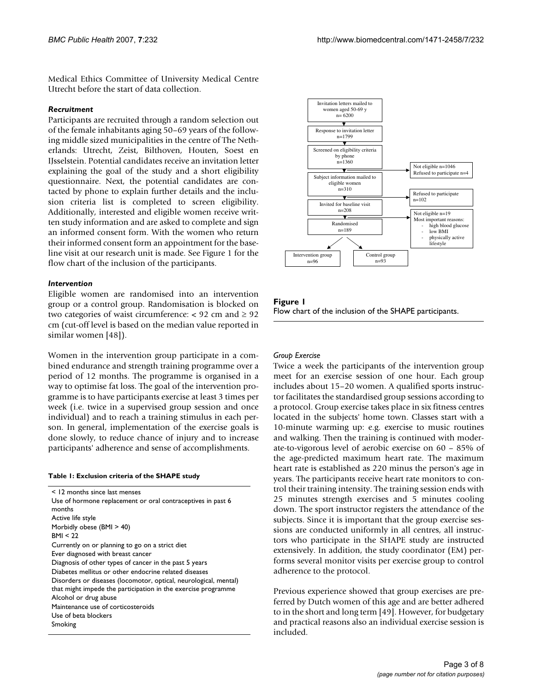Medical Ethics Committee of University Medical Centre Utrecht before the start of data collection.

### *Recruitment*

Participants are recruited through a random selection out of the female inhabitants aging 50–69 years of the following middle sized municipalities in the centre of The Netherlands: Utrecht, Zeist, Bilthoven, Houten, Soest en IJsselstein. Potential candidates receive an invitation letter explaining the goal of the study and a short eligibility questionnaire. Next, the potential candidates are contacted by phone to explain further details and the inclusion criteria list is completed to screen eligibility. Additionally, interested and eligible women receive written study information and are asked to complete and sign an informed consent form. With the women who return their informed consent form an appointment for the baseline visit at our research unit is made. See Figure 1 for the flow chart of the inclusion of the participants.

### *Intervention*

Eligible women are randomised into an intervention group or a control group. Randomisation is blocked on two categories of waist circumference:  $<$  92 cm and  $\ge$  92 cm (cut-off level is based on the median value reported in similar women [48]).

Women in the intervention group participate in a combined endurance and strength training programme over a period of 12 months. The programme is organised in a way to optimise fat loss. The goal of the intervention programme is to have participants exercise at least 3 times per week (i.e. twice in a supervised group session and once individual) and to reach a training stimulus in each person. In general, implementation of the exercise goals is done slowly, to reduce chance of injury and to increase participants' adherence and sense of accomplishments.

### **Table 1: Exclusion criteria of the SHAPE study**

< 12 months since last menses Use of hormone replacement or oral contraceptives in past 6 months Active life style Morbidly obese (BMI > 40) BMI < 22 Currently on or planning to go on a strict diet Ever diagnosed with breast cancer Diagnosis of other types of cancer in the past 5 years Diabetes mellitus or other endocrine related diseases Disorders or diseases (locomotor, optical, neurological, mental) that might impede the participation in the exercise programme Alcohol or drug abuse Maintenance use of corticosteroids Use of beta blockers Smoking



Figure 1 Flow chart of the inclusion of the SHAPE participants.

### *Group Exercise*

Twice a week the participants of the intervention group meet for an exercise session of one hour. Each group includes about 15–20 women. A qualified sports instructor facilitates the standardised group sessions according to a protocol. Group exercise takes place in six fitness centres located in the subjects' home town. Classes start with a 10-minute warming up: e.g. exercise to music routines and walking. Then the training is continued with moderate-to-vigorous level of aerobic exercise on 60 – 85% of the age-predicted maximum heart rate. The maximum heart rate is established as 220 minus the person's age in years. The participants receive heart rate monitors to control their training intensity. The training session ends with 25 minutes strength exercises and 5 minutes cooling down. The sport instructor registers the attendance of the subjects. Since it is important that the group exercise sessions are conducted uniformly in all centres, all instructors who participate in the SHAPE study are instructed extensively. In addition, the study coordinator (EM) performs several monitor visits per exercise group to control adherence to the protocol.

Previous experience showed that group exercises are preferred by Dutch women of this age and are better adhered to in the short and long term [49]. However, for budgetary and practical reasons also an individual exercise session is included.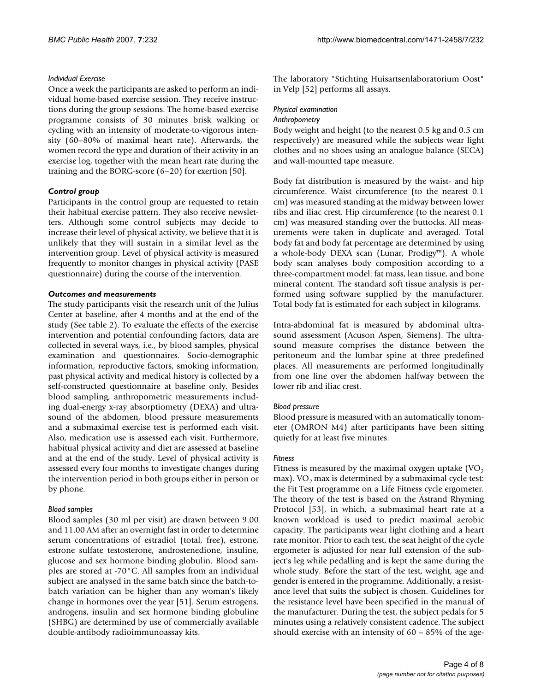# *Individual Exercise*

Once a week the participants are asked to perform an individual home-based exercise session. They receive instructions during the group sessions. The home-based exercise programme consists of 30 minutes brisk walking or cycling with an intensity of moderate-to-vigorous intensity (60–80% of maximal heart rate). Afterwards, the women record the type and duration of their activity in an exercise log, together with the mean heart rate during the training and the BORG-score (6–20) for exertion [50].

# *Control group*

Participants in the control group are requested to retain their habitual exercise pattern. They also receive newsletters. Although some control subjects may decide to increase their level of physical activity, we believe that it is unlikely that they will sustain in a similar level as the intervention group. Level of physical activity is measured frequently to monitor changes in physical activity (PASE questionnaire) during the course of the intervention.

# *Outcomes and measurements*

The study participants visit the research unit of the Julius Center at baseline, after 4 months and at the end of the study (See table 2). To evaluate the effects of the exercise intervention and potential confounding factors, data are collected in several ways, i.e., by blood samples, physical examination and questionnaires. Socio-demographic information, reproductive factors, smoking information, past physical activity and medical history is collected by a self-constructed questionnaire at baseline only. Besides blood sampling, anthropometric measurements including dual-energy x-ray absorptiometry (DEXA) and ultrasound of the abdomen, blood pressure measurements and a submaximal exercise test is performed each visit. Also, medication use is assessed each visit. Furthermore, habitual physical activity and diet are assessed at baseline and at the end of the study. Level of physical activity is assessed every four months to investigate changes during the intervention period in both groups either in person or by phone.

# *Blood samples*

Blood samples (30 ml per visit) are drawn between 9.00 and 11.00 AM after an overnight fast in order to determine serum concentrations of estradiol (total, free), estrone, estrone sulfate testosterone, androstenedione, insuline, glucose and sex hormone binding globulin. Blood samples are stored at -70°C. All samples from an individual subject are analysed in the same batch since the batch-tobatch variation can be higher than any woman's likely change in hormones over the year [51]. Serum estrogens, androgens, insulin and sex hormone binding globuline (SHBG) are determined by use of commercially available double-antibody radioimmunoassay kits.

The laboratory "Stichting Huisartsenlaboratorium Oost" in Velp [52] performs all assays.

### *Physical examination Anthropometry*

Body weight and height (to the nearest 0.5 kg and 0.5 cm respectively) are measured while the subjects wear light clothes and no shoes using an analogue balance (SECA) and wall-mounted tape measure.

Body fat distribution is measured by the waist- and hip circumference. Waist circumference (to the nearest 0.1 cm) was measured standing at the midway between lower ribs and iliac crest. Hip circumference (to the nearest 0.1 cm) was measured standing over the buttocks. All measurements were taken in duplicate and averaged. Total body fat and body fat percentage are determined by using a whole-body DEXA scan (Lunar, Prodigy™). A whole body scan analyses body composition according to a three-compartment model: fat mass, lean tissue, and bone mineral content. The standard soft tissue analysis is performed using software supplied by the manufacturer. Total body fat is estimated for each subject in kilograms.

Intra-abdominal fat is measured by abdominal ultrasound assessment (Acuson Aspen, Siemens). The ultrasound measure comprises the distance between the peritoneum and the lumbar spine at three predefined places. All measurements are performed longitudinally from one line over the abdomen halfway between the lower rib and iliac crest.

# *Blood pressure*

Blood pressure is measured with an automatically tonometer (OMRON M4) after participants have been sitting quietly for at least five minutes.

# *Fitness*

Fitness is measured by the maximal oxygen uptake  $(VO<sub>2</sub>)$ max). VO<sub>2</sub> max is determined by a submaximal cycle test: the Fit Test programme on a Life Fitness cycle ergometer. The theory of the test is based on the Ästrand Rhyming Protocol [53], in which, a submaximal heart rate at a known workload is used to predict maximal aerobic capacity. The participants wear light clothing and a heart rate monitor. Prior to each test, the seat height of the cycle ergometer is adjusted for near full extension of the subject's leg while pedalling and is kept the same during the whole study. Before the start of the test, weight, age and gender is entered in the programme. Additionally, a resistance level that suits the subject is chosen. Guidelines for the resistance level have been specified in the manual of the manufacturer. During the test, the subject pedals for 5 minutes using a relatively consistent cadence. The subject should exercise with an intensity of 60 – 85% of the age-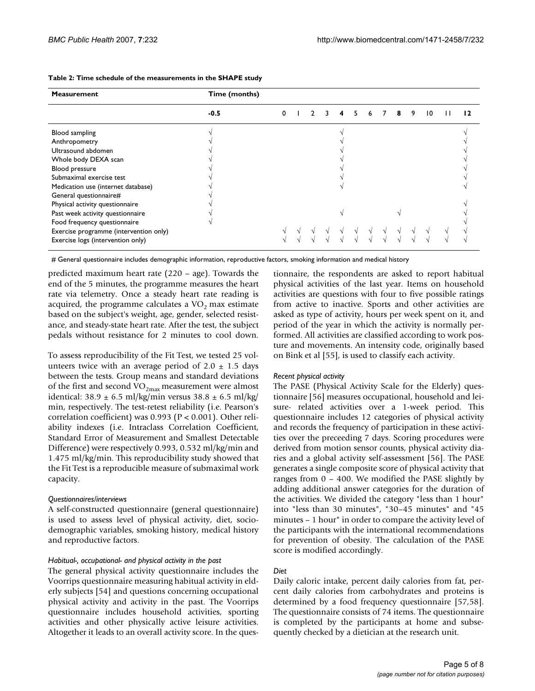| <b>Measurement</b>                     | Time (months) |          |  |   |  |   |   |   |    |    |
|----------------------------------------|---------------|----------|--|---|--|---|---|---|----|----|
|                                        | $-0.5$        | $\Omega$ |  | 3 |  | 6 | 8 | 9 | 10 | 12 |
| <b>Blood sampling</b>                  |               |          |  |   |  |   |   |   |    |    |
| Anthropometry                          |               |          |  |   |  |   |   |   |    |    |
| Ultrasound abdomen                     |               |          |  |   |  |   |   |   |    |    |
| Whole body DEXA scan                   |               |          |  |   |  |   |   |   |    |    |
| Blood pressure                         |               |          |  |   |  |   |   |   |    |    |
| Submaximal exercise test               |               |          |  |   |  |   |   |   |    |    |
| Medication use (internet database)     |               |          |  |   |  |   |   |   |    |    |
| General questionnaire#                 |               |          |  |   |  |   |   |   |    |    |
| Physical activity questionnaire        |               |          |  |   |  |   |   |   |    |    |
| Past week activity questionnaire       |               |          |  |   |  |   |   |   |    |    |
| Food frequency questionnaire           |               |          |  |   |  |   |   |   |    |    |
| Exercise programme (intervention only) |               |          |  |   |  |   |   |   |    |    |
| Exercise logs (intervention only)      |               |          |  |   |  |   |   |   |    |    |

#### **Table 2: Time schedule of the measurements in the SHAPE study**

# General questionnaire includes demographic information, reproductive factors, smoking information and medical history

predicted maximum heart rate (220 – age). Towards the end of the 5 minutes, the programme measures the heart rate via telemetry. Once a steady heart rate reading is acquired, the programme calculates a  $VO<sub>2</sub>$  max estimate based on the subject's weight, age, gender, selected resistance, and steady-state heart rate. After the test, the subject pedals without resistance for 2 minutes to cool down.

To assess reproducibility of the Fit Test, we tested 25 volunteers twice with an average period of 2.0  $\pm$  1.5 days between the tests. Group means and standard deviations of the first and second  $VO_{2max}$  measurement were almost identical:  $38.9 \pm 6.5$  ml/kg/min versus  $38.8 \pm 6.5$  ml/kg/ min, respectively. The test-retest reliability (i.e. Pearson's correlation coefficient) was 0.993 (P < 0.001). Other reliability indexes (i.e. Intraclass Correlation Coefficient, Standard Error of Measurement and Smallest Detectable Difference) were respectively 0.993, 0.532 ml/kg/min and 1.475 ml/kg/min. This reproducibility study showed that the Fit Test is a reproducible measure of submaximal work capacity.

### *Questionnaires/interviews*

A self-constructed questionnaire (general questionnaire) is used to assess level of physical activity, diet, sociodemographic variables, smoking history, medical history and reproductive factors.

### *Habitual-, occupational- and physical activity in the past*

The general physical activity questionnaire includes the Voorrips questionnaire measuring habitual activity in elderly subjects [54] and questions concerning occupational physical activity and activity in the past. The Voorrips questionnaire includes household activities, sporting activities and other physically active leisure activities. Altogether it leads to an overall activity score. In the questionnaire, the respondents are asked to report habitual physical activities of the last year. Items on household activities are questions with four to five possible ratings from active to inactive. Sports and other activities are asked as type of activity, hours per week spent on it, and period of the year in which the activity is normally performed. All activities are classified according to work posture and movements. An intensity code, originally based on Bink et al [55], is used to classify each activity.

### *Recent physical activity*

The PASE (Physical Activity Scale for the Elderly) questionnaire [56] measures occupational, household and leisure- related activities over a 1-week period. This questionnaire includes 12 categories of physical activity and records the frequency of participation in these activities over the preceeding 7 days. Scoring procedures were derived from motion sensor counts, physical activity diaries and a global activity self-assessment [56]. The PASE generates a single composite score of physical activity that ranges from 0 – 400. We modified the PASE slightly by adding additional answer categories for the duration of the activities. We divided the category "less than 1 hour" into "less than 30 minutes", "30–45 minutes" and "45 minutes – 1 hour" in order to compare the activity level of the participants with the international recommendations for prevention of obesity. The calculation of the PASE score is modified accordingly.

# *Diet*

Daily caloric intake, percent daily calories from fat, percent daily calories from carbohydrates and proteins is determined by a food frequency questionnaire [57,58]. The questionnaire consists of 74 items. The questionnaire is completed by the participants at home and subsequently checked by a dietician at the research unit.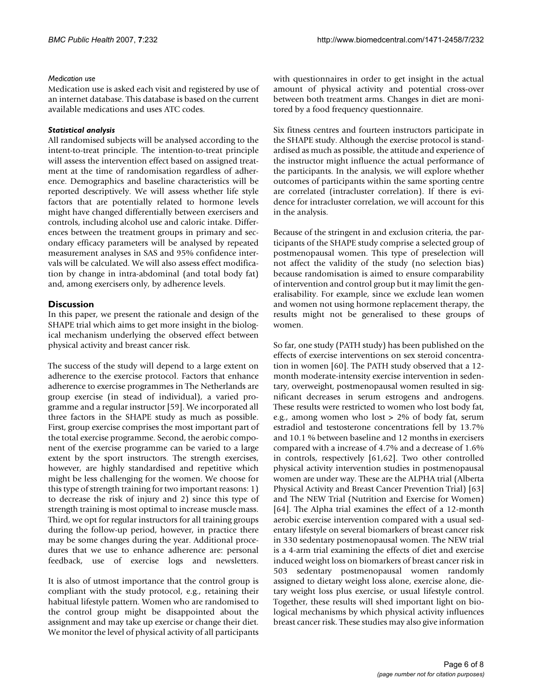### *Medication use*

Medication use is asked each visit and registered by use of an internet database. This database is based on the current available medications and uses ATC codes.

# *Statistical analysis*

All randomised subjects will be analysed according to the intent-to-treat principle. The intention-to-treat principle will assess the intervention effect based on assigned treatment at the time of randomisation regardless of adherence. Demographics and baseline characteristics will be reported descriptively. We will assess whether life style factors that are potentially related to hormone levels might have changed differentially between exercisers and controls, including alcohol use and caloric intake. Differences between the treatment groups in primary and secondary efficacy parameters will be analysed by repeated measurement analyses in SAS and 95% confidence intervals will be calculated. We will also assess effect modification by change in intra-abdominal (and total body fat) and, among exercisers only, by adherence levels.

# **Discussion**

In this paper, we present the rationale and design of the SHAPE trial which aims to get more insight in the biological mechanism underlying the observed effect between physical activity and breast cancer risk.

The success of the study will depend to a large extent on adherence to the exercise protocol. Factors that enhance adherence to exercise programmes in The Netherlands are group exercise (in stead of individual), a varied programme and a regular instructor [59]. We incorporated all three factors in the SHAPE study as much as possible. First, group exercise comprises the most important part of the total exercise programme. Second, the aerobic component of the exercise programme can be varied to a large extent by the sport instructors. The strength exercises, however, are highly standardised and repetitive which might be less challenging for the women. We choose for this type of strength training for two important reasons: 1) to decrease the risk of injury and 2) since this type of strength training is most optimal to increase muscle mass. Third, we opt for regular instructors for all training groups during the follow-up period, however, in practice there may be some changes during the year. Additional procedures that we use to enhance adherence are: personal feedback, use of exercise logs and newsletters.

It is also of utmost importance that the control group is compliant with the study protocol, e.g., retaining their habitual lifestyle pattern. Women who are randomised to the control group might be disappointed about the assignment and may take up exercise or change their diet. We monitor the level of physical activity of all participants

with questionnaires in order to get insight in the actual amount of physical activity and potential cross-over between both treatment arms. Changes in diet are monitored by a food frequency questionnaire.

Six fitness centres and fourteen instructors participate in the SHAPE study. Although the exercise protocol is standardised as much as possible, the attitude and experience of the instructor might influence the actual performance of the participants. In the analysis, we will explore whether outcomes of participants within the same sporting centre are correlated (intracluster correlation). If there is evidence for intracluster correlation, we will account for this in the analysis.

Because of the stringent in and exclusion criteria, the participants of the SHAPE study comprise a selected group of postmenopausal women. This type of preselection will not affect the validity of the study (no selection bias) because randomisation is aimed to ensure comparability of intervention and control group but it may limit the generalisability. For example, since we exclude lean women and women not using hormone replacement therapy, the results might not be generalised to these groups of women.

So far, one study (PATH study) has been published on the effects of exercise interventions on sex steroid concentration in women [60]. The PATH study observed that a 12 month moderate-intensity exercise intervention in sedentary, overweight, postmenopausal women resulted in significant decreases in serum estrogens and androgens. These results were restricted to women who lost body fat, e.g., among women who lost > 2% of body fat, serum estradiol and testosterone concentrations fell by 13.7% and 10.1 % between baseline and 12 months in exercisers compared with a increase of 4.7% and a decrease of 1.6% in controls, respectively [61,62]. Two other controlled physical activity intervention studies in postmenopausal women are under way. These are the ALPHA trial (Alberta Physical Activity and Breast Cancer Prevention Trial) [63] and The NEW Trial (Nutrition and Exercise for Women) [64]. The Alpha trial examines the effect of a 12-month aerobic exercise intervention compared with a usual sedentary lifestyle on several biomarkers of breast cancer risk in 330 sedentary postmenopausal women. The NEW trial is a 4-arm trial examining the effects of diet and exercise induced weight loss on biomarkers of breast cancer risk in 503 sedentary postmenopausal women randomly assigned to dietary weight loss alone, exercise alone, dietary weight loss plus exercise, or usual lifestyle control. Together, these results will shed important light on biological mechanisms by which physical activity influences breast cancer risk. These studies may also give information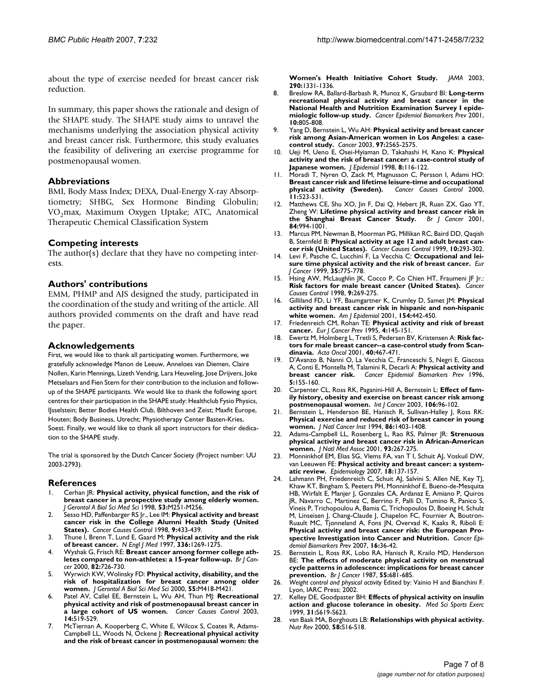about the type of exercise needed for breast cancer risk reduction.

In summary, this paper shows the rationale and design of the SHAPE study. The SHAPE study aims to unravel the mechanisms underlying the association physical activity and breast cancer risk. Furthermore, this study evaluates the feasibility of delivering an exercise programme for postmenopausal women.

# **Abbreviations**

BMI, Body Mass Index; DEXA, Dual-Energy X-ray Absorptiometry; SHBG, Sex Hormone Binding Globulin; VO2max, Maximum Oxygen Uptake; ATC, Anatomical Therapeutic Chemical Classification System

# **Competing interests**

The author(s) declare that they have no competing interests.

# **Authors' contributions**

EMM, PHMP and AJS designed the study, participated in the coordination of the study and writing of the article. All authors provided comments on the draft and have read the paper.

### **Acknowledgements**

First, we would like to thank all participating women. Furthermore, we gratefully acknowledge Manon de Leeuw, Anneloes van Diemen, Claire Nollen, Karin Menninga, Lizeth Vendrig, Lara Heuveling, Jose Drijvers, Joke Metselaars and Fien Stern for their contribution to the inclusion and followup of the SHAPE participants. We would like to thank the following sport centres for their participation in the SHAPE study: Healthclub Fysio Physics, IJsselstein; Better Bodies Health Club, Bilthoven and Zeist; Maxfit Europe, Houten; Body Business, Utrecht; Physiotherapy Center Basten-Kries, Soest. Finally, we would like to thank all sport instructors for their dedication to the SHAPE study.

The trial is sponsored by the Dutch Cancer Society (Project number: UU 2003-2793).

# **References**

- 1. Cerhan JR: **Physical activity, physical function, and the risk of breast cancer in a prospective study among elderly women.** *J Gerontol A Biol Sci Med Sci* 1998, **53:**M251-M256.
- 2. Sesso HD, Paffenbarger RS Jr., Lee IM: **[Physical activity and breast](http://www.ncbi.nlm.nih.gov/entrez/query.fcgi?cmd=Retrieve&db=PubMed&dopt=Abstract&list_uids=9794176) [cancer risk in the College Alumni Health Study \(United](http://www.ncbi.nlm.nih.gov/entrez/query.fcgi?cmd=Retrieve&db=PubMed&dopt=Abstract&list_uids=9794176) [States\).](http://www.ncbi.nlm.nih.gov/entrez/query.fcgi?cmd=Retrieve&db=PubMed&dopt=Abstract&list_uids=9794176)** *Cancer Causes Control* 1998, **9:**433-439.
- 3. Thune I, Brenn T, Lund E, Gaard M: **[Physical activity and the risk](http://www.ncbi.nlm.nih.gov/entrez/query.fcgi?cmd=Retrieve&db=PubMed&dopt=Abstract&list_uids=9113929) [of breast cancer.](http://www.ncbi.nlm.nih.gov/entrez/query.fcgi?cmd=Retrieve&db=PubMed&dopt=Abstract&list_uids=9113929)** *N Engl J Med* 1997, **336:**1269-1275.
- 4. Wyshak G, Frisch RE: **[Breast cancer among former college ath](http://www.ncbi.nlm.nih.gov/entrez/query.fcgi?cmd=Retrieve&db=PubMed&dopt=Abstract&list_uids=10682689)[letes compared to non-athletes: a 15-year follow-up.](http://www.ncbi.nlm.nih.gov/entrez/query.fcgi?cmd=Retrieve&db=PubMed&dopt=Abstract&list_uids=10682689)** *Br J Cancer* 2000, **82:**726-730.
- 5. Wyrwich KW, Wolinsky FD: **[Physical activity, disability, and the](http://www.ncbi.nlm.nih.gov/entrez/query.fcgi?cmd=Retrieve&db=PubMed&dopt=Abstract&list_uids=10898260) [risk of hospitalization for breast cancer among older](http://www.ncbi.nlm.nih.gov/entrez/query.fcgi?cmd=Retrieve&db=PubMed&dopt=Abstract&list_uids=10898260) [women.](http://www.ncbi.nlm.nih.gov/entrez/query.fcgi?cmd=Retrieve&db=PubMed&dopt=Abstract&list_uids=10898260)** *J Gerontol A Biol Sci Med Sci* 2000, **55:**M418-M421.
- Patel AV, Callel EE, Bernstein L, Wu AH, Thun M|: [Recreational](http://www.ncbi.nlm.nih.gov/entrez/query.fcgi?cmd=Retrieve&db=PubMed&dopt=Abstract&list_uids=12948283) **[physical activity and risk of postmenopausal breast cancer in](http://www.ncbi.nlm.nih.gov/entrez/query.fcgi?cmd=Retrieve&db=PubMed&dopt=Abstract&list_uids=12948283) [a large cohort of US women.](http://www.ncbi.nlm.nih.gov/entrez/query.fcgi?cmd=Retrieve&db=PubMed&dopt=Abstract&list_uids=12948283)** *Cancer Causes Control* 2003, **14:**519-529.
- 7. McTiernan A, Kooperberg C, White E, Wilcox S, Coates R, Adams-Campbell LL, Woods N, Ockene J: **[Recreational physical activity](http://www.ncbi.nlm.nih.gov/entrez/query.fcgi?cmd=Retrieve&db=PubMed&dopt=Abstract&list_uids=12966124) [and the risk of breast cancer in postmenopausal women: the](http://www.ncbi.nlm.nih.gov/entrez/query.fcgi?cmd=Retrieve&db=PubMed&dopt=Abstract&list_uids=12966124)**

**[Women's Health Initiative Cohort Study.](http://www.ncbi.nlm.nih.gov/entrez/query.fcgi?cmd=Retrieve&db=PubMed&dopt=Abstract&list_uids=12966124)** *JAMA* 2003, **290:**1331-1336.

- 8. Breslow RA, Ballard-Barbash R, Munoz K, Graubard BI: **[Long-term](http://www.ncbi.nlm.nih.gov/entrez/query.fcgi?cmd=Retrieve&db=PubMed&dopt=Abstract&list_uids=11440967) recreational physical activity and breast cancer in the [National Health and Nutrition Examination Survey I epide](http://www.ncbi.nlm.nih.gov/entrez/query.fcgi?cmd=Retrieve&db=PubMed&dopt=Abstract&list_uids=11440967)[miologic follow-up study.](http://www.ncbi.nlm.nih.gov/entrez/query.fcgi?cmd=Retrieve&db=PubMed&dopt=Abstract&list_uids=11440967)** *Cancer Epidemiol Biomarkers Prev* 2001, **10:**805-808.
- 9. Yang D, Bernstein L, Wu AH: **[Physical activity and breast cancer](http://www.ncbi.nlm.nih.gov/entrez/query.fcgi?cmd=Retrieve&db=PubMed&dopt=Abstract&list_uids=12733156) [risk among Asian-American women in Los Angeles: a case](http://www.ncbi.nlm.nih.gov/entrez/query.fcgi?cmd=Retrieve&db=PubMed&dopt=Abstract&list_uids=12733156)[control study.](http://www.ncbi.nlm.nih.gov/entrez/query.fcgi?cmd=Retrieve&db=PubMed&dopt=Abstract&list_uids=12733156)** *Cancer* 2003, **97:**2565-2575.
- 10. Ueji M, Ueno E, Osei-Hyiaman D, Takahashi H, Kano K: **[Physical](http://www.ncbi.nlm.nih.gov/entrez/query.fcgi?cmd=Retrieve&db=PubMed&dopt=Abstract&list_uids=9673081) [activity and the risk of breast cancer: a case-control study of](http://www.ncbi.nlm.nih.gov/entrez/query.fcgi?cmd=Retrieve&db=PubMed&dopt=Abstract&list_uids=9673081) [Japanese women.](http://www.ncbi.nlm.nih.gov/entrez/query.fcgi?cmd=Retrieve&db=PubMed&dopt=Abstract&list_uids=9673081)** *J Epidemiol* 1998, **8:**116-122.
- 11. Moradi T, Nyren O, Zack M, Magnusson C, Persson I, Adami HO: **[Breast cancer risk and lifetime leisure-time and occupational](http://www.ncbi.nlm.nih.gov/entrez/query.fcgi?cmd=Retrieve&db=PubMed&dopt=Abstract&list_uids=10880034) [physical activity \(Sweden\).](http://www.ncbi.nlm.nih.gov/entrez/query.fcgi?cmd=Retrieve&db=PubMed&dopt=Abstract&list_uids=10880034)** *Cancer Causes Control* 2000, **11:**523-531.
- 12. Matthews CE, Shu XO, Jin F, Dai Q, Hebert JR, Ruan ZX, Gao YT, Zheng W: **[Lifetime physical activity and breast cancer risk in](http://www.ncbi.nlm.nih.gov/entrez/query.fcgi?cmd=Retrieve&db=PubMed&dopt=Abstract&list_uids=11286483) [the Shanghai Breast Cancer Study.](http://www.ncbi.nlm.nih.gov/entrez/query.fcgi?cmd=Retrieve&db=PubMed&dopt=Abstract&list_uids=11286483)** *Br J Cancer* 2001, **84:**994-1001.
- 13. Marcus PM, Newman B, Moorman PG, Millikan RC, Baird DD, Qaqish B, Sternfeld B: **[Physical activity at age 12 and adult breast can](http://www.ncbi.nlm.nih.gov/entrez/query.fcgi?cmd=Retrieve&db=PubMed&dopt=Abstract&list_uids=10482488)[cer risk \(United States\).](http://www.ncbi.nlm.nih.gov/entrez/query.fcgi?cmd=Retrieve&db=PubMed&dopt=Abstract&list_uids=10482488)** *Cancer Causes Control* 1999, **10:**293-302.
- 14. Levi F, Pasche C, Lucchini F, La Vecchia C: **[Occupational and lei](http://www.ncbi.nlm.nih.gov/entrez/query.fcgi?cmd=Retrieve&db=PubMed&dopt=Abstract&list_uids=10505038)[sure time physical activity and the risk of breast cancer.](http://www.ncbi.nlm.nih.gov/entrez/query.fcgi?cmd=Retrieve&db=PubMed&dopt=Abstract&list_uids=10505038)** *Eur J Cancer* 1999, **35:**775-778.
- 15. Hsing AW, McLaughlin JK, Cocco P, Co Chien HT, Fraumeni JF Jr.: **[Risk factors for male breast cancer \(United States\).](http://www.ncbi.nlm.nih.gov/entrez/query.fcgi?cmd=Retrieve&db=PubMed&dopt=Abstract&list_uids=9684707)** *Cancer Causes Control* 1998, **9:**269-275.
- 16. Gilliland FD, Li YF, Baumgartner K, Crumley D, Samet JM: **[Physical](http://www.ncbi.nlm.nih.gov/entrez/query.fcgi?cmd=Retrieve&db=PubMed&dopt=Abstract&list_uids=11532786) [activity and breast cancer risk in hispanic and non-hispanic](http://www.ncbi.nlm.nih.gov/entrez/query.fcgi?cmd=Retrieve&db=PubMed&dopt=Abstract&list_uids=11532786) [white women.](http://www.ncbi.nlm.nih.gov/entrez/query.fcgi?cmd=Retrieve&db=PubMed&dopt=Abstract&list_uids=11532786)** *Am J Epidemiol* 2001, **154:**442-450.
- 17. Friedenreich CM, Rohan TE: **[Physical activity and risk of breast](http://www.ncbi.nlm.nih.gov/entrez/query.fcgi?cmd=Retrieve&db=PubMed&dopt=Abstract&list_uids=7767240) [cancer.](http://www.ncbi.nlm.nih.gov/entrez/query.fcgi?cmd=Retrieve&db=PubMed&dopt=Abstract&list_uids=7767240)** *Eur J Cancer Prev* 1995, **4:**145-151.
- 18. Ewertz M, Holmberg L, Tretli S, Pedersen BV, Kristensen A: **[Risk fac](http://www.ncbi.nlm.nih.gov/entrez/query.fcgi?cmd=Retrieve&db=PubMed&dopt=Abstract&list_uids=11504305)[tors for male breast cancer--a case-control study from Scan](http://www.ncbi.nlm.nih.gov/entrez/query.fcgi?cmd=Retrieve&db=PubMed&dopt=Abstract&list_uids=11504305)[dinavia.](http://www.ncbi.nlm.nih.gov/entrez/query.fcgi?cmd=Retrieve&db=PubMed&dopt=Abstract&list_uids=11504305)** *Acta Oncol* 2001, **40:**467-471.
- 19. D'Avanzo B, Nanni O, La Vecchia C, Franceschi S, Negri E, Giacosa A, Conti E, Montella M, Talamini R, Decarli A: **[Physical activity and](http://www.ncbi.nlm.nih.gov/entrez/query.fcgi?cmd=Retrieve&db=PubMed&dopt=Abstract&list_uids=8833614) [breast cancer risk.](http://www.ncbi.nlm.nih.gov/entrez/query.fcgi?cmd=Retrieve&db=PubMed&dopt=Abstract&list_uids=8833614)** *Cancer Epidemiol Biomarkers Prev* 1996, **5:**155-160.
- 20. Carpenter CL, Ross RK, Paganini-Hill A, Bernstein L: **[Effect of fam](http://www.ncbi.nlm.nih.gov/entrez/query.fcgi?cmd=Retrieve&db=PubMed&dopt=Abstract&list_uids=12794763)[ily history, obesity and exercise on breast cancer risk among](http://www.ncbi.nlm.nih.gov/entrez/query.fcgi?cmd=Retrieve&db=PubMed&dopt=Abstract&list_uids=12794763) [postmenopausal women.](http://www.ncbi.nlm.nih.gov/entrez/query.fcgi?cmd=Retrieve&db=PubMed&dopt=Abstract&list_uids=12794763)** *Int J Cancer* 2003, **106:**96-102.
- 21. Bernstein L, Henderson BE, Hanisch R, Sullivan-Halley J, Ross RK: **[Physical exercise and reduced risk of breast cancer in young](http://www.ncbi.nlm.nih.gov/entrez/query.fcgi?cmd=Retrieve&db=PubMed&dopt=Abstract&list_uids=8072034) [women.](http://www.ncbi.nlm.nih.gov/entrez/query.fcgi?cmd=Retrieve&db=PubMed&dopt=Abstract&list_uids=8072034)** *J Natl Cancer Inst* 1994, **86:**1403-1408.
- 22. Adams-Campbell LL, Rosenberg L, Rao RS, Palmer JR: **[Strenuous](http://www.ncbi.nlm.nih.gov/entrez/query.fcgi?cmd=Retrieve&db=PubMed&dopt=Abstract&list_uids=11491277) [physical activity and breast cancer risk in African-American](http://www.ncbi.nlm.nih.gov/entrez/query.fcgi?cmd=Retrieve&db=PubMed&dopt=Abstract&list_uids=11491277) [women.](http://www.ncbi.nlm.nih.gov/entrez/query.fcgi?cmd=Retrieve&db=PubMed&dopt=Abstract&list_uids=11491277)** *J Natl Med Assoc* 2001, **93:**267-275.
- 23. Monninkhof EM, Elias SG, Vlems FA, van T I, Schuit AJ, Voskuil DW, van Leeuwen FE: **[Physical activity and breast cancer: a system](http://www.ncbi.nlm.nih.gov/entrez/query.fcgi?cmd=Retrieve&db=PubMed&dopt=Abstract&list_uids=17130685)[atic review.](http://www.ncbi.nlm.nih.gov/entrez/query.fcgi?cmd=Retrieve&db=PubMed&dopt=Abstract&list_uids=17130685)** *Epidemiology* 2007, **18:**137-157.
- 24. Lahmann PH, Friedenreich C, Schuit AJ, Salvini S, Allen NE, Key TJ, Khaw KT, Bingham S, Peeters PH, Monninkhof E, Bueno-de-Mesquita HB, Wirfalt E, Manjer J, Gonzales CA, Ardanaz E, Amiano P, Quiros JR, Navarro C, Martinez C, Berrino F, Palli D, Tumino R, Panico S, Vineis P, Trichopoulou A, Bamia C, Trichopoulos D, Boeing H, Schulz M, Linseisen J, Chang-Claude J, Chapelon FC, Fournier A, Boutron-Ruault MC, Tjonneland A, Fons JN, Overvad K, Kaaks R, Riboli E: **[Physical activity and breast cancer risk: the European Pro](http://www.ncbi.nlm.nih.gov/entrez/query.fcgi?cmd=Retrieve&db=PubMed&dopt=Abstract&list_uids=17179488)[spective Investigation into Cancer and Nutrition.](http://www.ncbi.nlm.nih.gov/entrez/query.fcgi?cmd=Retrieve&db=PubMed&dopt=Abstract&list_uids=17179488)** *Cancer Epidemiol Biomarkers Prev* 2007, **16:**36-42.
- 25. Bernstein L, Ross RK, Lobo RA, Hanisch R, Krailo MD, Henderson BE: **[The effects of moderate physical activity on menstrual](http://www.ncbi.nlm.nih.gov/entrez/query.fcgi?cmd=Retrieve&db=PubMed&dopt=Abstract&list_uids=3620313) [cycle patterns in adolescence: implications for breast cancer](http://www.ncbi.nlm.nih.gov/entrez/query.fcgi?cmd=Retrieve&db=PubMed&dopt=Abstract&list_uids=3620313) [prevention.](http://www.ncbi.nlm.nih.gov/entrez/query.fcgi?cmd=Retrieve&db=PubMed&dopt=Abstract&list_uids=3620313)** *Br J Cancer* 1987, **55:**681-685.
- 26. *Weight control and physical activity* Edited by: Vainio H and Bianchini F. Lyon, IARC Press; 2002.
- 27. Kelley DE, Goodpaster BH: **[Effects of physical activity on insulin](http://www.ncbi.nlm.nih.gov/entrez/query.fcgi?cmd=Retrieve&db=PubMed&dopt=Abstract&list_uids=10593537) [action and glucose tolerance in obesity.](http://www.ncbi.nlm.nih.gov/entrez/query.fcgi?cmd=Retrieve&db=PubMed&dopt=Abstract&list_uids=10593537)** *Med Sci Sports Exerc* 1999, **31:**S619-S623.
- 28. van Baak MA, Borghouts LB: **[Relationships with physical activity.](http://www.ncbi.nlm.nih.gov/entrez/query.fcgi?cmd=Retrieve&db=PubMed&dopt=Abstract&list_uids=10812930)** *Nutr Rev* 2000, **58:**S16-S18.